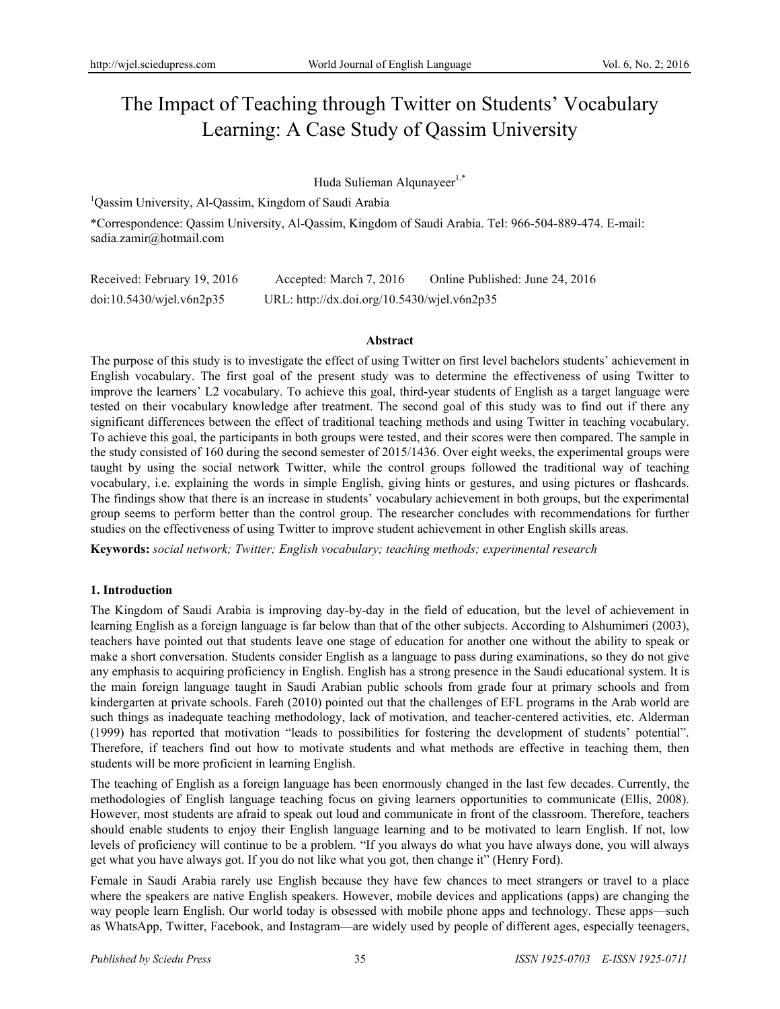# The Impact of Teaching through Twitter on Students' Vocabulary Learning: A Case Study of Qassim University

Huda Sulieman Algunayeer<sup>1,\*</sup>

<sup>1</sup>Qassim University, Al-Qassim, Kingdom of Saudi Arabia

\*Correspondence: Qassim University, Al-Qassim, Kingdom of Saudi Arabia. Tel: 966-504-889-474. E-mail: sadia.zamir@hotmail.com

| Received: February 19, 2016 | Accepted: March 7, 2016                     | Online Published: June 24, 2016 |
|-----------------------------|---------------------------------------------|---------------------------------|
| doi:10.5430/wjel.v6n2p35    | URL: http://dx.doi.org/10.5430/wjel.v6n2p35 |                                 |

## **Abstract**

The purpose of this study is to investigate the effect of using Twitter on first level bachelors students' achievement in English vocabulary. The first goal of the present study was to determine the effectiveness of using Twitter to improve the learners' L2 vocabulary. To achieve this goal, third-year students of English as a target language were tested on their vocabulary knowledge after treatment. The second goal of this study was to find out if there any significant differences between the effect of traditional teaching methods and using Twitter in teaching vocabulary. To achieve this goal, the participants in both groups were tested, and their scores were then compared. The sample in the study consisted of 160 during the second semester of 2015/1436. Over eight weeks, the experimental groups were taught by using the social network Twitter, while the control groups followed the traditional way of teaching vocabulary, i.e. explaining the words in simple English, giving hints or gestures, and using pictures or flashcards. The findings show that there is an increase in students' vocabulary achievement in both groups, but the experimental group seems to perform better than the control group. The researcher concludes with recommendations for further studies on the effectiveness of using Twitter to improve student achievement in other English skills areas.

**Keywords:** *social network; Twitter; English vocabulary; teaching methods; experimental research*

## **1. Introduction**

The Kingdom of Saudi Arabia is improving day-by-day in the field of education, but the level of achievement in learning English as a foreign language is far below than that of the other subjects. According to Alshumimeri (2003), teachers have pointed out that students leave one stage of education for another one without the ability to speak or make a short conversation. Students consider English as a language to pass during examinations, so they do not give any emphasis to acquiring proficiency in English. English has a strong presence in the Saudi educational system. It is the main foreign language taught in Saudi Arabian public schools from grade four at primary schools and from kindergarten at private schools. Fareh (2010) pointed out that the challenges of EFL programs in the Arab world are such things as inadequate teaching methodology, lack of motivation, and teacher-centered activities, etc. Alderman (1999) has reported that motivation "leads to possibilities for fostering the development of students' potential". Therefore, if teachers find out how to motivate students and what methods are effective in teaching them, then students will be more proficient in learning English.

The teaching of English as a foreign language has been enormously changed in the last few decades. Currently, the methodologies of English language teaching focus on giving learners opportunities to communicate (Ellis, 2008). However, most students are afraid to speak out loud and communicate in front of the classroom. Therefore, teachers should enable students to enjoy their English language learning and to be motivated to learn English. If not, low levels of proficiency will continue to be a problem. "If you always do what you have always done, you will always get what you have always got. If you do not like what you got, then change it" (Henry Ford).

Female in Saudi Arabia rarely use English because they have few chances to meet strangers or travel to a place where the speakers are native English speakers. However, mobile devices and applications (apps) are changing the way people learn English. Our world today is obsessed with mobile phone apps and technology. These apps—such as WhatsApp, Twitter, Facebook, and Instagram—are widely used by people of different ages, especially teenagers,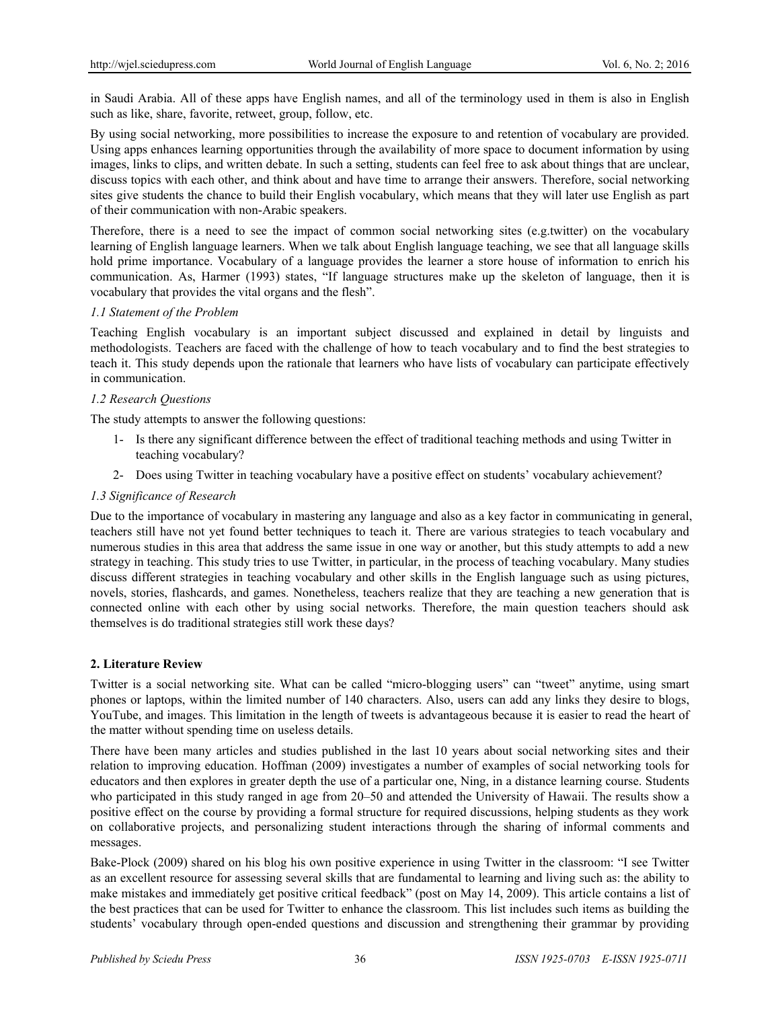in Saudi Arabia. All of these apps have English names, and all of the terminology used in them is also in English such as like, share, favorite, retweet, group, follow, etc.

By using social networking, more possibilities to increase the exposure to and retention of vocabulary are provided. Using apps enhances learning opportunities through the availability of more space to document information by using images, links to clips, and written debate. In such a setting, students can feel free to ask about things that are unclear, discuss topics with each other, and think about and have time to arrange their answers. Therefore, social networking sites give students the chance to build their English vocabulary, which means that they will later use English as part of their communication with non-Arabic speakers.

Therefore, there is a need to see the impact of common social networking sites (e.g.twitter) on the vocabulary learning of English language learners. When we talk about English language teaching, we see that all language skills hold prime importance. Vocabulary of a language provides the learner a store house of information to enrich his communication. As, Harmer (1993) states, "If language structures make up the skeleton of language, then it is vocabulary that provides the vital organs and the flesh".

## *1.1 Statement of the Problem*

Teaching English vocabulary is an important subject discussed and explained in detail by linguists and methodologists. Teachers are faced with the challenge of how to teach vocabulary and to find the best strategies to teach it. This study depends upon the rationale that learners who have lists of vocabulary can participate effectively in communication.

# *1.2 Research Questions*

The study attempts to answer the following questions:

- 1- Is there any significant difference between the effect of traditional teaching methods and using Twitter in teaching vocabulary?
- 2- Does using Twitter in teaching vocabulary have a positive effect on students' vocabulary achievement?

# *1.3 Significance of Research*

Due to the importance of vocabulary in mastering any language and also as a key factor in communicating in general, teachers still have not yet found better techniques to teach it. There are various strategies to teach vocabulary and numerous studies in this area that address the same issue in one way or another, but this study attempts to add a new strategy in teaching. This study tries to use Twitter, in particular, in the process of teaching vocabulary. Many studies discuss different strategies in teaching vocabulary and other skills in the English language such as using pictures, novels, stories, flashcards, and games. Nonetheless, teachers realize that they are teaching a new generation that is connected online with each other by using social networks. Therefore, the main question teachers should ask themselves is do traditional strategies still work these days?

## **2. Literature Review**

Twitter is a social networking site. What can be called "micro-blogging users" can "tweet" anytime, using smart phones or laptops, within the limited number of 140 characters. Also, users can add any links they desire to blogs, YouTube, and images. This limitation in the length of tweets is advantageous because it is easier to read the heart of the matter without spending time on useless details.

There have been many articles and studies published in the last 10 years about social networking sites and their relation to improving education. Hoffman (2009) investigates a number of examples of social networking tools for educators and then explores in greater depth the use of a particular one, Ning, in a distance learning course. Students who participated in this study ranged in age from 20–50 and attended the University of Hawaii. The results show a positive effect on the course by providing a formal structure for required discussions, helping students as they work on collaborative projects, and personalizing student interactions through the sharing of informal comments and messages.

Bake-Plock (2009) shared on his blog his own positive experience in using Twitter in the classroom: "I see Twitter as an excellent resource for assessing several skills that are fundamental to learning and living such as: the ability to make mistakes and immediately get positive critical feedback" (post on May 14, 2009). This article contains a list of the best practices that can be used for Twitter to enhance the classroom. This list includes such items as building the students' vocabulary through open-ended questions and discussion and strengthening their grammar by providing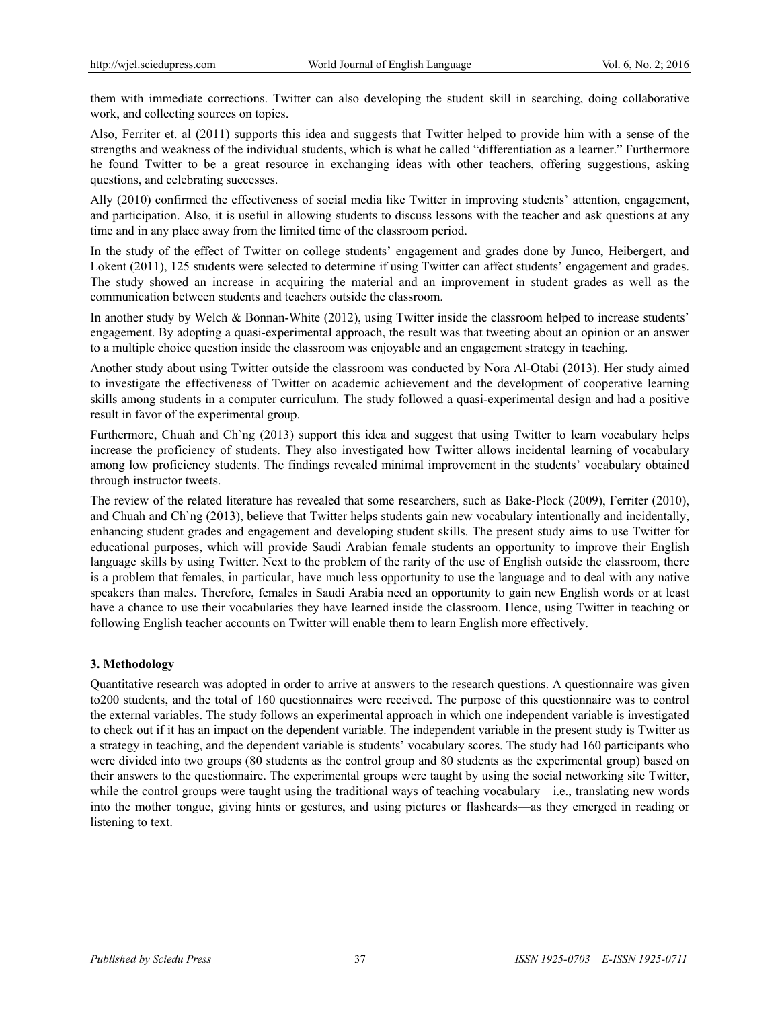them with immediate corrections. Twitter can also developing the student skill in searching, doing collaborative work, and collecting sources on topics.

Also, Ferriter et. al (2011) supports this idea and suggests that Twitter helped to provide him with a sense of the strengths and weakness of the individual students, which is what he called "differentiation as a learner." Furthermore he found Twitter to be a great resource in exchanging ideas with other teachers, offering suggestions, asking questions, and celebrating successes.

Ally (2010) confirmed the effectiveness of social media like Twitter in improving students' attention, engagement, and participation. Also, it is useful in allowing students to discuss lessons with the teacher and ask questions at any time and in any place away from the limited time of the classroom period.

In the study of the effect of Twitter on college students' engagement and grades done by Junco, Heibergert, and Lokent (2011), 125 students were selected to determine if using Twitter can affect students' engagement and grades. The study showed an increase in acquiring the material and an improvement in student grades as well as the communication between students and teachers outside the classroom.

In another study by Welch & Bonnan-White (2012), using Twitter inside the classroom helped to increase students' engagement. By adopting a quasi-experimental approach, the result was that tweeting about an opinion or an answer to a multiple choice question inside the classroom was enjoyable and an engagement strategy in teaching.

Another study about using Twitter outside the classroom was conducted by Nora Al-Otabi (2013). Her study aimed to investigate the effectiveness of Twitter on academic achievement and the development of cooperative learning skills among students in a computer curriculum. The study followed a quasi-experimental design and had a positive result in favor of the experimental group.

Furthermore, Chuah and Ch`ng (2013) support this idea and suggest that using Twitter to learn vocabulary helps increase the proficiency of students. They also investigated how Twitter allows incidental learning of vocabulary among low proficiency students. The findings revealed minimal improvement in the students' vocabulary obtained through instructor tweets.

The review of the related literature has revealed that some researchers, such as Bake-Plock (2009), Ferriter (2010), and Chuah and Ch`ng (2013), believe that Twitter helps students gain new vocabulary intentionally and incidentally, enhancing student grades and engagement and developing student skills. The present study aims to use Twitter for educational purposes, which will provide Saudi Arabian female students an opportunity to improve their English language skills by using Twitter. Next to the problem of the rarity of the use of English outside the classroom, there is a problem that females, in particular, have much less opportunity to use the language and to deal with any native speakers than males. Therefore, females in Saudi Arabia need an opportunity to gain new English words or at least have a chance to use their vocabularies they have learned inside the classroom. Hence, using Twitter in teaching or following English teacher accounts on Twitter will enable them to learn English more effectively.

## **3. Methodology**

Quantitative research was adopted in order to arrive at answers to the research questions. A questionnaire was given to200 students, and the total of 160 questionnaires were received. The purpose of this questionnaire was to control the external variables. The study follows an experimental approach in which one independent variable is investigated to check out if it has an impact on the dependent variable. The independent variable in the present study is Twitter as a strategy in teaching, and the dependent variable is students' vocabulary scores. The study had 160 participants who were divided into two groups (80 students as the control group and 80 students as the experimental group) based on their answers to the questionnaire. The experimental groups were taught by using the social networking site Twitter, while the control groups were taught using the traditional ways of teaching vocabulary—i.e., translating new words into the mother tongue, giving hints or gestures, and using pictures or flashcards—as they emerged in reading or listening to text.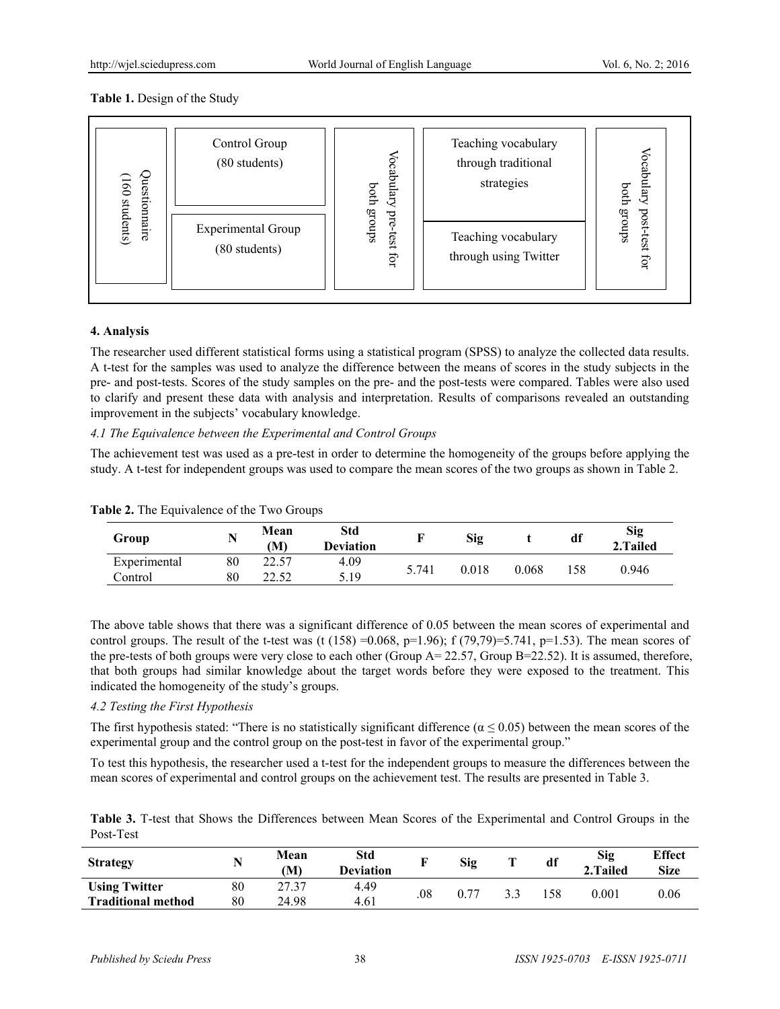## **Table 1.** Design of the Study



## **4. Analysis**

The researcher used different statistical forms using a statistical program (SPSS) to analyze the collected data results. A t-test for the samples was used to analyze the difference between the means of scores in the study subjects in the pre- and post-tests. Scores of the study samples on the pre- and the post-tests were compared. Tables were also used to clarify and present these data with analysis and interpretation. Results of comparisons revealed an outstanding improvement in the subjects' vocabulary knowledge.

## *4.1 The Equivalence between the Experimental and Control Groups*

The achievement test was used as a pre-test in order to determine the homogeneity of the groups before applying the study. A t-test for independent groups was used to compare the mean scores of the two groups as shown in Table 2.

| Group        |    | Mean<br>M) | Std<br><b>Deviation</b> | г     | <b>Sig</b> |       | df  | <b>Sig</b><br>2. Tailed |
|--------------|----|------------|-------------------------|-------|------------|-------|-----|-------------------------|
| Experimental | 80 | 22.57      | 4.09                    | 5.741 | 0.018      |       |     |                         |
| Control      | 80 | 22.52      | 5.19                    |       |            | 0.068 | 158 | 0.946                   |

**Table 2.** The Equivalence of the Two Groups

The above table shows that there was a significant difference of 0.05 between the mean scores of experimental and control groups. The result of the t-test was (t (158) =0.068, p=1.96); f (79,79)=5.741, p=1.53). The mean scores of the pre-tests of both groups were very close to each other (Group  $A = 22.57$ , Group B=22.52). It is assumed, therefore, that both groups had similar knowledge about the target words before they were exposed to the treatment. This indicated the homogeneity of the study's groups.

# *4.2 Testing the First Hypothesis*

The first hypothesis stated: "There is no statistically significant difference ( $\alpha \le 0.05$ ) between the mean scores of the experimental group and the control group on the post-test in favor of the experimental group."

To test this hypothesis, the researcher used a t-test for the independent groups to measure the differences between the mean scores of experimental and control groups on the achievement test. The results are presented in Table 3.

|           |  |  |  |  | Table 3. T-test that Shows the Differences between Mean Scores of the Experimental and Control Groups in the |  |  |
|-----------|--|--|--|--|--------------------------------------------------------------------------------------------------------------|--|--|
| Post-Test |  |  |  |  |                                                                                                              |  |  |

| <b>Strategy</b>           | N  | Mean<br>M | Std<br><b>Deviation</b> |    | <b>Sig</b> | m | df  | Sig<br>2. Tailed | <b>Effect</b><br><b>Size</b> |
|---------------------------|----|-----------|-------------------------|----|------------|---|-----|------------------|------------------------------|
| <b>Using Twitter</b>      | 80 | 27.37     | 4.49                    | 08 |            |   |     |                  |                              |
| <b>Traditional method</b> | 80 | 24.98     | 4.61                    |    | 0.77       |   | 158 | $0.001\,$        | 0.06                         |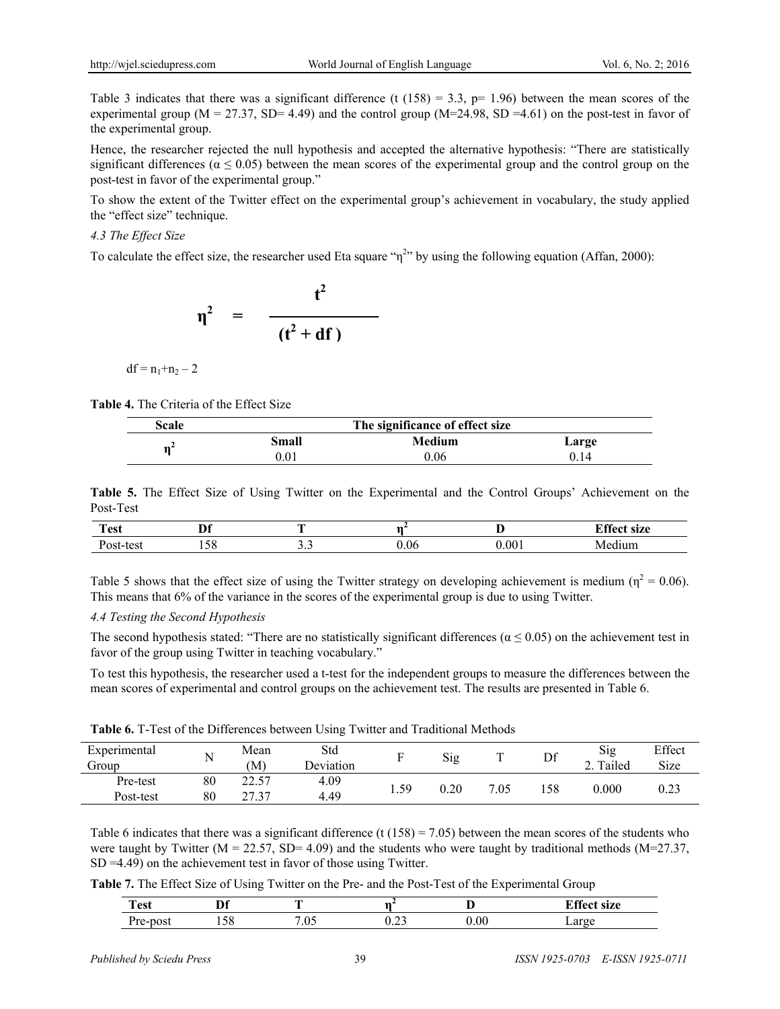Table 3 indicates that there was a significant difference (t  $(158) = 3.3$ ,  $p= 1.96$ ) between the mean scores of the experimental group ( $M = 27.37$ , SD= 4.49) and the control group ( $M = 24.98$ , SD = 4.61) on the post-test in favor of the experimental group.

Hence, the researcher rejected the null hypothesis and accepted the alternative hypothesis: "There are statistically significant differences ( $\alpha \le 0.05$ ) between the mean scores of the experimental group and the control group on the post-test in favor of the experimental group."

To show the extent of the Twitter effect on the experimental group's achievement in vocabulary, the study applied the "effect size" technique.

### *4.3 The Effect Size*

To calculate the effect size, the researcher used Eta square " $\eta^{2\nu}$  by using the following equation (Affan, 2000):

$$
\eta^2 = \frac{t^2}{(t^2 + df)}
$$

 $df = n_1+n_2-2$ 

**Table 4.** The Criteria of the Effect Size

| Scale        |          | The significance of effect size |       |
|--------------|----------|---------------------------------|-------|
|              | Small    | <b>Medium</b>                   | Large |
| $\mathbf{n}$ | $0.01\,$ | 0.06                            | 0.14  |

**Table 5.** The Effect Size of Using Twitter on the Experimental and the Control Groups' Achievement on the Post-Test

| $\sim$<br>Test | $ -$                           | $\overline{\phantom{a}}$ |     |                 | <b>100</b><br>617A<br>--<br>эіл<br>. |
|----------------|--------------------------------|--------------------------|-----|-----------------|--------------------------------------|
| $.0 +$<br>tan  | $\overline{\phantom{0}}$<br>٥٥ | <u>.</u>                 | .06 | 00 <sup>°</sup> | -----                                |

Table 5 shows that the effect size of using the Twitter strategy on developing achievement is medium ( $\eta^2 = 0.06$ ). This means that 6% of the variance in the scores of the experimental group is due to using Twitter.

## *4.4 Testing the Second Hypothesis*

The second hypothesis stated: "There are no statistically significant differences ( $\alpha \le 0.05$ ) on the achievement test in favor of the group using Twitter in teaching vocabulary."

To test this hypothesis, the researcher used a t-test for the independent groups to measure the differences between the mean scores of experimental and control groups on the achievement test. The results are presented in Table 6.

| Table 6. T-Test of the Differences between Using Twitter and Traditional Methods |  |
|----------------------------------------------------------------------------------|--|
|----------------------------------------------------------------------------------|--|

| Experimental<br>Group |    | Mean<br>M)       | Std<br>Deviation | Ð    | Sig  | œ   | Df  | Sig<br>Tailed | Effect<br><b>Size</b> |
|-----------------------|----|------------------|------------------|------|------|-----|-----|---------------|-----------------------|
| Pre-test              | 80 | 77 57<br>ن با با | 4.09             | 1.59 | 0.20 | .05 | .58 | 0.000         | 0.23                  |
| Post-test             | 80 | 77 37            | 4.49             |      |      |     |     |               |                       |

Table 6 indicates that there was a significant difference (t  $(158) = 7.05$ ) between the mean scores of the students who were taught by Twitter ( $M = 22.57$ , SD= 4.09) and the students who were taught by traditional methods ( $M=27.37$ , SD =4.49) on the achievement test in favor of those using Twitter.

**Table 7.** The Effect Size of Using Twitter on the Pre- and the Post-Test of the Experimental Group

| <b>CONTRACTOR</b><br>1 est |                     |      |      |      | <b>DO</b><br>0170<br>-SIZE. |
|----------------------------|---------------------|------|------|------|-----------------------------|
| ---<br>.                   | $ -$<br>. .<br>20 U | 7.05 | ∪.∠J | 0.00 | arc6<br><b>L</b> u          |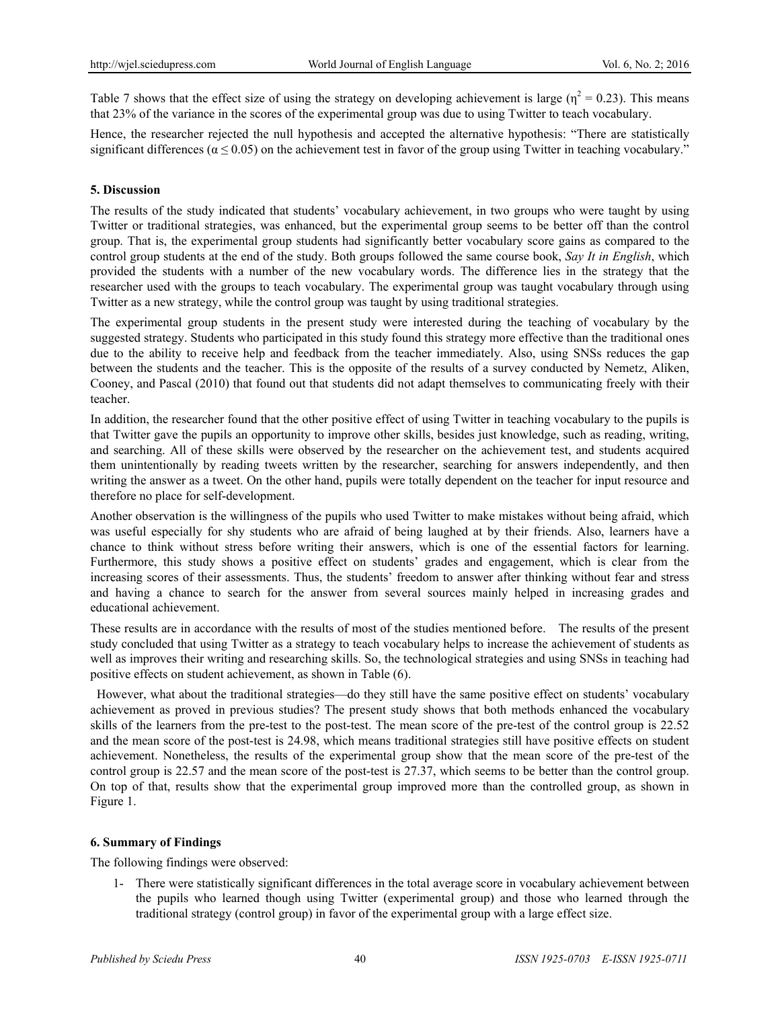Table 7 shows that the effect size of using the strategy on developing achievement is large ( $\eta^2 = 0.23$ ). This means that 23% of the variance in the scores of the experimental group was due to using Twitter to teach vocabulary.

Hence, the researcher rejected the null hypothesis and accepted the alternative hypothesis: "There are statistically significant differences ( $\alpha \le 0.05$ ) on the achievement test in favor of the group using Twitter in teaching vocabulary."

## **5. Discussion**

The results of the study indicated that students' vocabulary achievement, in two groups who were taught by using Twitter or traditional strategies, was enhanced, but the experimental group seems to be better off than the control group. That is, the experimental group students had significantly better vocabulary score gains as compared to the control group students at the end of the study. Both groups followed the same course book, *Say It in English*, which provided the students with a number of the new vocabulary words. The difference lies in the strategy that the researcher used with the groups to teach vocabulary. The experimental group was taught vocabulary through using Twitter as a new strategy, while the control group was taught by using traditional strategies.

The experimental group students in the present study were interested during the teaching of vocabulary by the suggested strategy. Students who participated in this study found this strategy more effective than the traditional ones due to the ability to receive help and feedback from the teacher immediately. Also, using SNSs reduces the gap between the students and the teacher. This is the opposite of the results of a survey conducted by Nemetz, Aliken, Cooney, and Pascal (2010) that found out that students did not adapt themselves to communicating freely with their teacher.

In addition, the researcher found that the other positive effect of using Twitter in teaching vocabulary to the pupils is that Twitter gave the pupils an opportunity to improve other skills, besides just knowledge, such as reading, writing, and searching. All of these skills were observed by the researcher on the achievement test, and students acquired them unintentionally by reading tweets written by the researcher, searching for answers independently, and then writing the answer as a tweet. On the other hand, pupils were totally dependent on the teacher for input resource and therefore no place for self-development.

Another observation is the willingness of the pupils who used Twitter to make mistakes without being afraid, which was useful especially for shy students who are afraid of being laughed at by their friends. Also, learners have a chance to think without stress before writing their answers, which is one of the essential factors for learning. Furthermore, this study shows a positive effect on students' grades and engagement, which is clear from the increasing scores of their assessments. Thus, the students' freedom to answer after thinking without fear and stress and having a chance to search for the answer from several sources mainly helped in increasing grades and educational achievement.

These results are in accordance with the results of most of the studies mentioned before. The results of the present study concluded that using Twitter as a strategy to teach vocabulary helps to increase the achievement of students as well as improves their writing and researching skills. So, the technological strategies and using SNSs in teaching had positive effects on student achievement, as shown in Table (6).

 However, what about the traditional strategies—do they still have the same positive effect on students' vocabulary achievement as proved in previous studies? The present study shows that both methods enhanced the vocabulary skills of the learners from the pre-test to the post-test. The mean score of the pre-test of the control group is 22.52 and the mean score of the post-test is 24.98, which means traditional strategies still have positive effects on student achievement. Nonetheless, the results of the experimental group show that the mean score of the pre-test of the control group is 22.57 and the mean score of the post-test is 27.37, which seems to be better than the control group. On top of that, results show that the experimental group improved more than the controlled group, as shown in Figure 1.

# **6. Summary of Findings**

The following findings were observed:

1- There were statistically significant differences in the total average score in vocabulary achievement between the pupils who learned though using Twitter (experimental group) and those who learned through the traditional strategy (control group) in favor of the experimental group with a large effect size.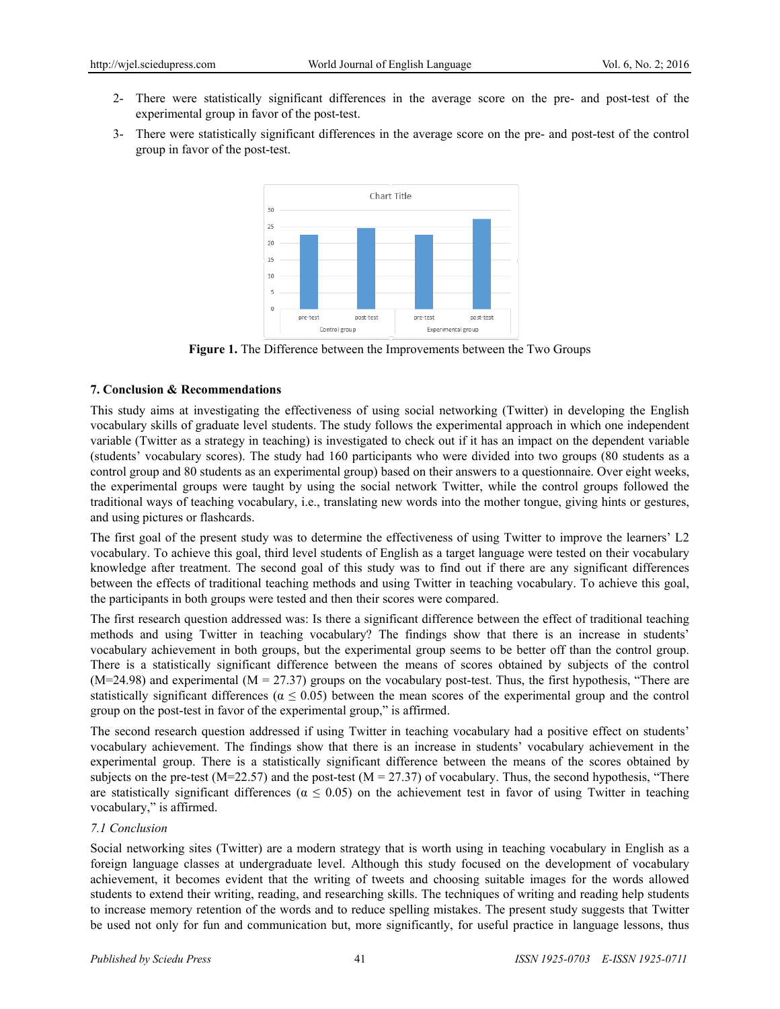- 2- There were statistically significant differences in the average score on the pre- and post-test of the experimental group in favor of the post-test.
- 3- There were statistically significant differences in the average score on the pre- and post-test of the control group in favor of the post-test.



**Figure 1.** The Difference between the Improvements between the Two Groups

## **7. Conclusion & Recommendations**

This study aims at investigating the effectiveness of using social networking (Twitter) in developing the English vocabulary skills of graduate level students. The study follows the experimental approach in which one independent variable (Twitter as a strategy in teaching) is investigated to check out if it has an impact on the dependent variable (students' vocabulary scores). The study had 160 participants who were divided into two groups (80 students as a control group and 80 students as an experimental group) based on their answers to a questionnaire. Over eight weeks, the experimental groups were taught by using the social network Twitter, while the control groups followed the traditional ways of teaching vocabulary, i.e., translating new words into the mother tongue, giving hints or gestures, and using pictures or flashcards.

The first goal of the present study was to determine the effectiveness of using Twitter to improve the learners' L2 vocabulary. To achieve this goal, third level students of English as a target language were tested on their vocabulary knowledge after treatment. The second goal of this study was to find out if there are any significant differences between the effects of traditional teaching methods and using Twitter in teaching vocabulary. To achieve this goal, the participants in both groups were tested and then their scores were compared.

The first research question addressed was: Is there a significant difference between the effect of traditional teaching methods and using Twitter in teaching vocabulary? The findings show that there is an increase in students' vocabulary achievement in both groups, but the experimental group seems to be better off than the control group. There is a statistically significant difference between the means of scores obtained by subjects of the control  $(M=24.98)$  and experimental  $(M = 27.37)$  groups on the vocabulary post-test. Thus, the first hypothesis, "There are statistically significant differences ( $\alpha \le 0.05$ ) between the mean scores of the experimental group and the control group on the post-test in favor of the experimental group," is affirmed.

The second research question addressed if using Twitter in teaching vocabulary had a positive effect on students' vocabulary achievement. The findings show that there is an increase in students' vocabulary achievement in the experimental group. There is a statistically significant difference between the means of the scores obtained by subjects on the pre-test ( $M=22.57$ ) and the post-test ( $M = 27.37$ ) of vocabulary. Thus, the second hypothesis, "There are statistically significant differences ( $\alpha \leq 0.05$ ) on the achievement test in favor of using Twitter in teaching vocabulary," is affirmed.

## *7.1 Conclusion*

Social networking sites (Twitter) are a modern strategy that is worth using in teaching vocabulary in English as a foreign language classes at undergraduate level. Although this study focused on the development of vocabulary achievement, it becomes evident that the writing of tweets and choosing suitable images for the words allowed students to extend their writing, reading, and researching skills. The techniques of writing and reading help students to increase memory retention of the words and to reduce spelling mistakes. The present study suggests that Twitter be used not only for fun and communication but, more significantly, for useful practice in language lessons, thus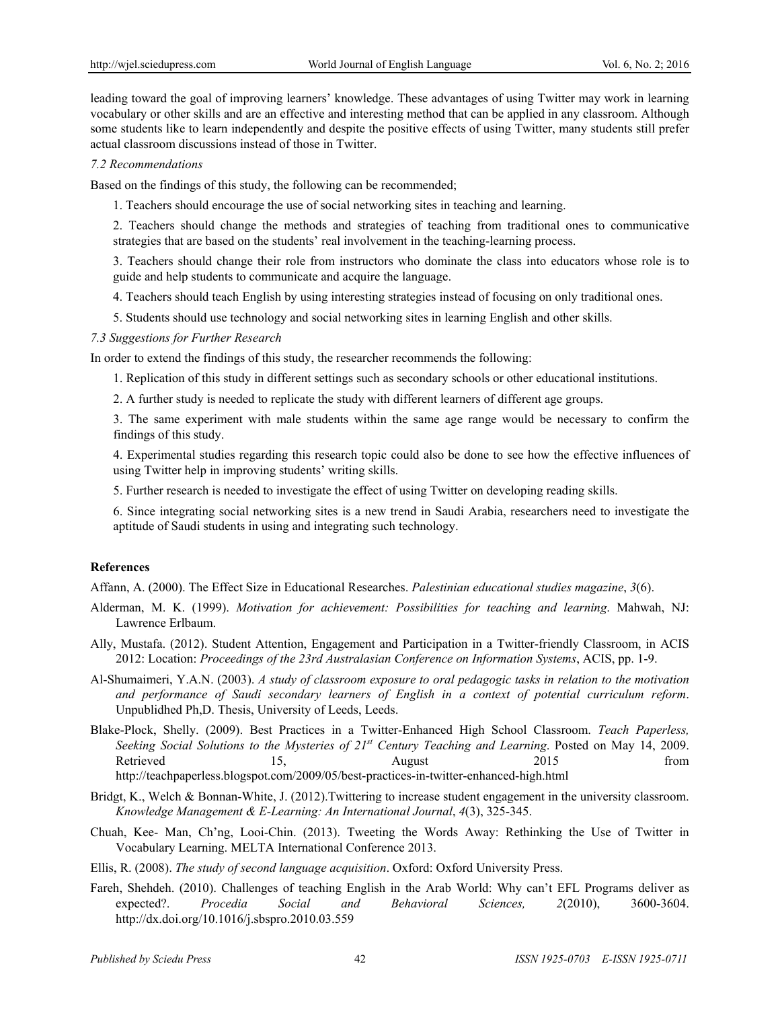leading toward the goal of improving learners' knowledge. These advantages of using Twitter may work in learning vocabulary or other skills and are an effective and interesting method that can be applied in any classroom. Although some students like to learn independently and despite the positive effects of using Twitter, many students still prefer actual classroom discussions instead of those in Twitter.

#### *7.2 Recommendations*

Based on the findings of this study, the following can be recommended;

1. Teachers should encourage the use of social networking sites in teaching and learning.

2. Teachers should change the methods and strategies of teaching from traditional ones to communicative strategies that are based on the students' real involvement in the teaching-learning process.

3. Teachers should change their role from instructors who dominate the class into educators whose role is to guide and help students to communicate and acquire the language.

4. Teachers should teach English by using interesting strategies instead of focusing on only traditional ones.

5. Students should use technology and social networking sites in learning English and other skills.

#### *7.3 Suggestions for Further Research*

In order to extend the findings of this study, the researcher recommends the following:

- 1. Replication of this study in different settings such as secondary schools or other educational institutions.
- 2. A further study is needed to replicate the study with different learners of different age groups.

3. The same experiment with male students within the same age range would be necessary to confirm the findings of this study.

4. Experimental studies regarding this research topic could also be done to see how the effective influences of using Twitter help in improving students' writing skills.

5. Further research is needed to investigate the effect of using Twitter on developing reading skills.

6. Since integrating social networking sites is a new trend in Saudi Arabia, researchers need to investigate the aptitude of Saudi students in using and integrating such technology.

## **References**

Affann, A. (2000). The Effect Size in Educational Researches. *Palestinian educational studies magazine*, *3*(6).

- Alderman, M. K. (1999). *Motivation for achievement: Possibilities for teaching and learning*. Mahwah, NJ: Lawrence Erlbaum.
- Ally, Mustafa. (2012). Student Attention, Engagement and Participation in a Twitter-friendly Classroom, in ACIS 2012: Location: *Proceedings of the 23rd Australasian Conference on Information Systems*, ACIS, pp. 1-9.
- Al-Shumaimeri, Y.A.N. (2003). *A study of classroom exposure to oral pedagogic tasks in relation to the motivation and performance of Saudi secondary learners of English in a context of potential curriculum reform*. Unpublidhed Ph,D. Thesis, University of Leeds, Leeds.
- Blake-Plock, Shelly. (2009). Best Practices in a Twitter-Enhanced High School Classroom. *Teach Paperless, Seeking Social Solutions to the Mysteries of 21st Century Teaching and Learning*. Posted on May 14, 2009. Retrieved 15, August 2015 from http://teachpaperless.blogspot.com/2009/05/best-practices-in-twitter-enhanced-high.html
- Bridgt, K., Welch & Bonnan-White, J. (2012).Twittering to increase student engagement in the university classroom. *Knowledge Management & E-Learning: An International Journal*, *4*(3), 325-345.
- Chuah, Kee- Man, Ch'ng, Looi-Chin. (2013). Tweeting the Words Away: Rethinking the Use of Twitter in Vocabulary Learning. MELTA International Conference 2013.

Ellis, R. (2008). *The study of second language acquisition*. Oxford: Oxford University Press.

Fareh, Shehdeh. (2010). Challenges of teaching English in the Arab World: Why can't EFL Programs deliver as expected?. *Procedia Social and Behavioral Sciences, 2*(2010), 3600-3604. http://dx.doi.org/10.1016/j.sbspro.2010.03.559